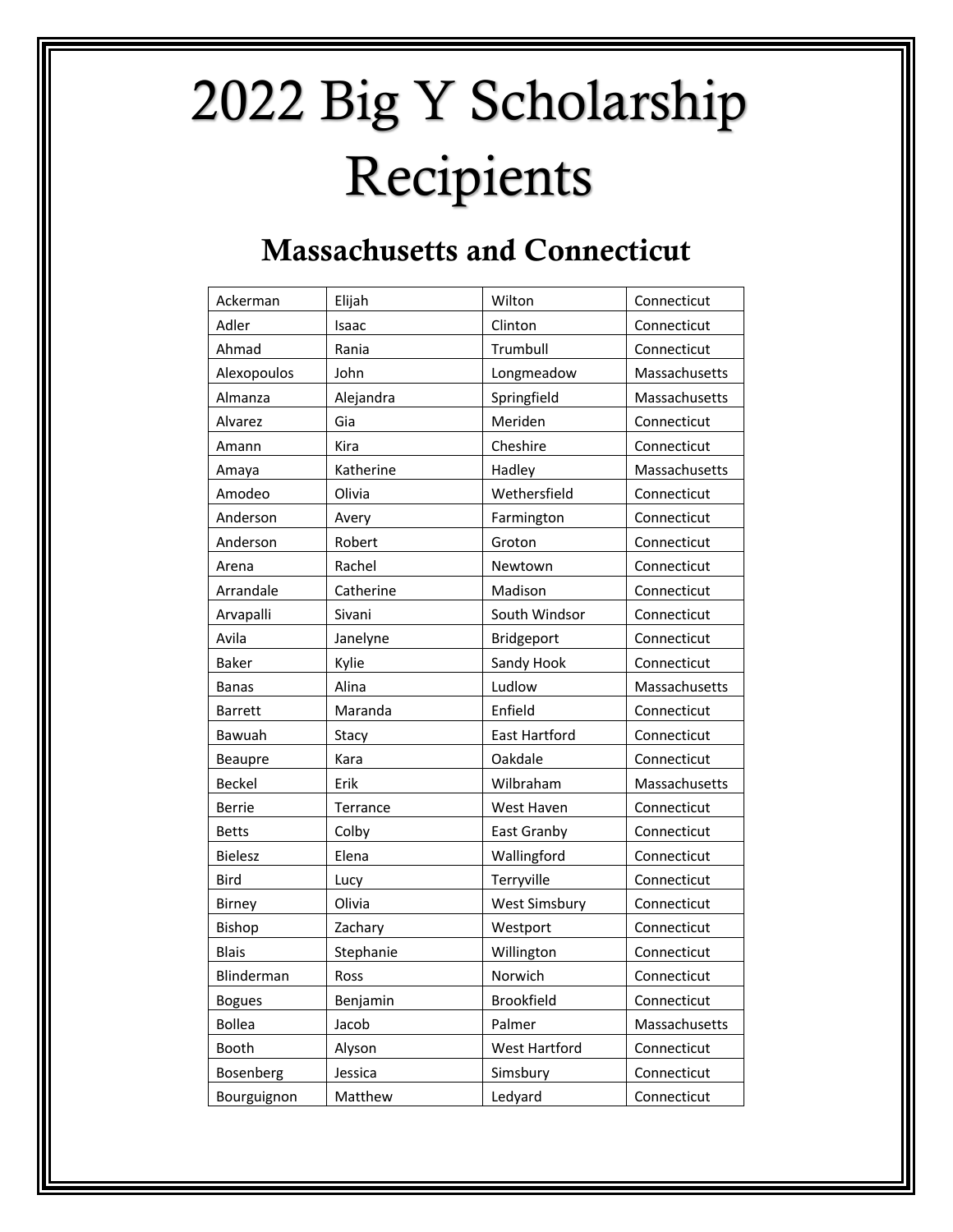## 2022 Big Y Scholarship Recipients

## Massachusetts and Connecticut

| Ackerman       | Elijah    | Wilton               | Connecticut   |
|----------------|-----------|----------------------|---------------|
| Adler          | Isaac     | Clinton              | Connecticut   |
| Ahmad          | Rania     | Trumbull             | Connecticut   |
| Alexopoulos    | John      | Longmeadow           | Massachusetts |
| Almanza        | Alejandra | Springfield          | Massachusetts |
| Alvarez        | Gia       | Meriden              | Connecticut   |
| Amann          | Kira      | Cheshire             | Connecticut   |
| Amaya          | Katherine | Hadley               | Massachusetts |
| Amodeo         | Olivia    | Wethersfield         | Connecticut   |
| Anderson       | Avery     | Farmington           | Connecticut   |
| Anderson       | Robert    | Groton               | Connecticut   |
| Arena          | Rachel    | Newtown              | Connecticut   |
| Arrandale      | Catherine | Madison              | Connecticut   |
| Arvapalli      | Sivani    | South Windsor        | Connecticut   |
| Avila          | Janelyne  | Bridgeport           | Connecticut   |
| Baker          | Kylie     | Sandy Hook           | Connecticut   |
| <b>Banas</b>   | Alina     | Ludlow               | Massachusetts |
| <b>Barrett</b> | Maranda   | Enfield              | Connecticut   |
| Bawuah         | Stacy     | East Hartford        | Connecticut   |
| Beaupre        | Kara      | Oakdale              | Connecticut   |
| <b>Beckel</b>  | Erik      | Wilbraham            | Massachusetts |
| <b>Berrie</b>  | Terrance  | West Haven           | Connecticut   |
| <b>Betts</b>   | Colby     | East Granby          | Connecticut   |
| <b>Bielesz</b> | Elena     | Wallingford          | Connecticut   |
| <b>Bird</b>    | Lucy      | Terryville           | Connecticut   |
| <b>Birney</b>  | Olivia    | <b>West Simsbury</b> | Connecticut   |
| Bishop         | Zachary   | Westport             | Connecticut   |
| <b>Blais</b>   | Stephanie | Willington           | Connecticut   |
| Blinderman     | Ross      | Norwich              | Connecticut   |
| <b>Bogues</b>  | Benjamin  | Brookfield           | Connecticut   |
| <b>Bollea</b>  | Jacob     | Palmer               | Massachusetts |
| Booth          | Alyson    | West Hartford        | Connecticut   |
| Bosenberg      | Jessica   | Simsbury             | Connecticut   |
| Bourguignon    | Matthew   | Ledyard              | Connecticut   |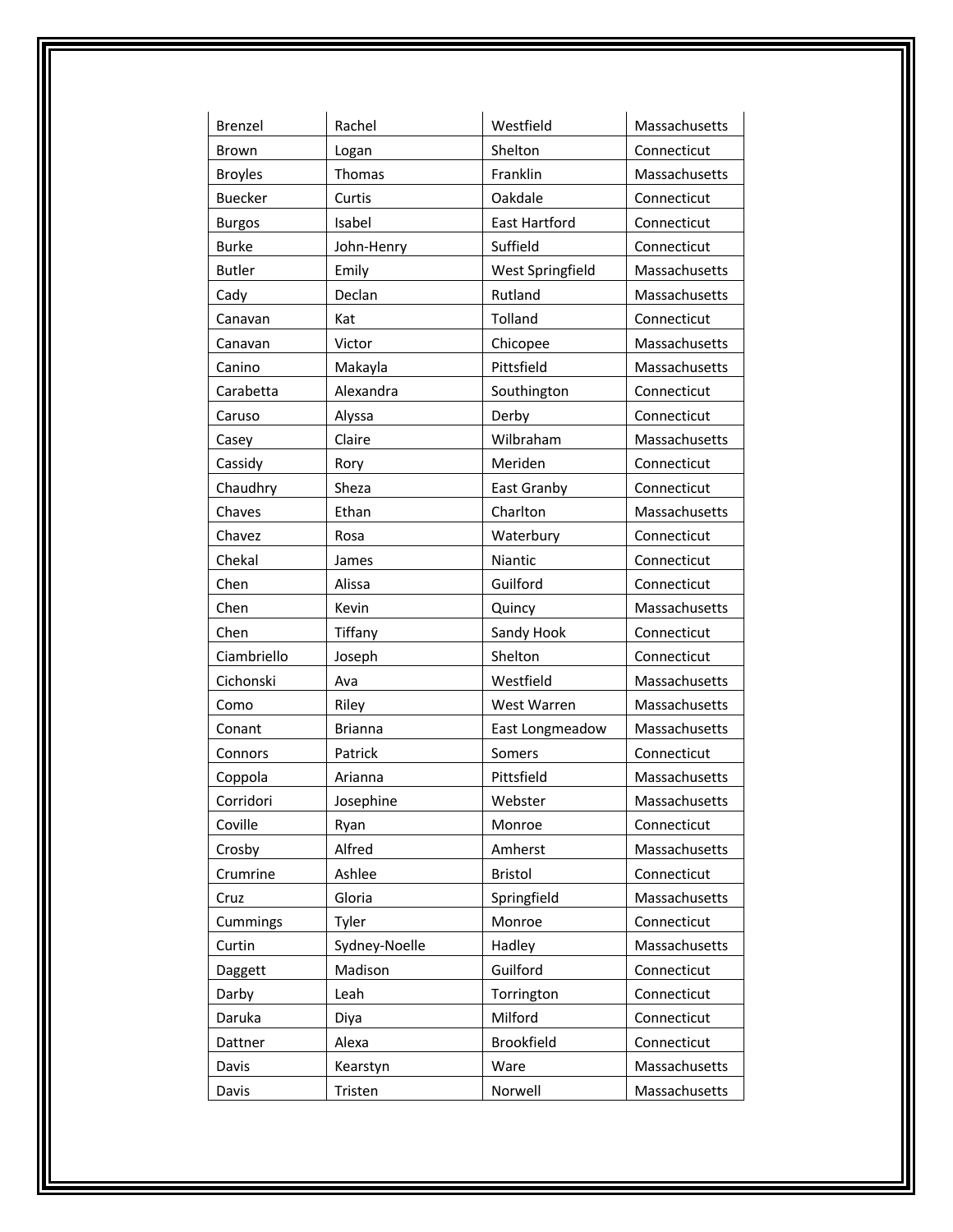| Brenzel        | Rachel         | Westfield            | Massachusetts |
|----------------|----------------|----------------------|---------------|
| <b>Brown</b>   | Logan          | Shelton              | Connecticut   |
| <b>Broyles</b> | Thomas         | Franklin             | Massachusetts |
| <b>Buecker</b> | Curtis         | Oakdale              | Connecticut   |
| <b>Burgos</b>  | Isabel         | <b>East Hartford</b> | Connecticut   |
| <b>Burke</b>   | John-Henry     | Suffield             | Connecticut   |
| <b>Butler</b>  | Emily          | West Springfield     | Massachusetts |
| Cady           | Declan         | Rutland              | Massachusetts |
| Canavan        | Kat            | Tolland              | Connecticut   |
| Canavan        | Victor         | Chicopee             | Massachusetts |
| Canino         | Makayla        | Pittsfield           | Massachusetts |
| Carabetta      | Alexandra      | Southington          | Connecticut   |
| Caruso         | Alyssa         | Derby                | Connecticut   |
| Casey          | Claire         | Wilbraham            | Massachusetts |
| Cassidy        | Rory           | Meriden              | Connecticut   |
| Chaudhry       | Sheza          | East Granby          | Connecticut   |
| Chaves         | Ethan          | Charlton             | Massachusetts |
| Chavez         | Rosa           | Waterbury            | Connecticut   |
| Chekal         | James          | Niantic              | Connecticut   |
| Chen           | Alissa         | Guilford             | Connecticut   |
| Chen           | Kevin          | Quincy               | Massachusetts |
| Chen           | Tiffany        | Sandy Hook           | Connecticut   |
| Ciambriello    | Joseph         | Shelton              | Connecticut   |
| Cichonski      | Ava            | Westfield            | Massachusetts |
| Como           | Riley          | West Warren          | Massachusetts |
| Conant         | <b>Brianna</b> | East Longmeadow      | Massachusetts |
| Connors        | Patrick        | Somers               | Connecticut   |
| Coppola        | Arianna        | Pittsfield           | Massachusetts |
| Corridori      | Josephine      | Webster              | Massachusetts |
| Coville        | Ryan           | Monroe               | Connecticut   |
| Crosby         | Alfred         | Amherst              | Massachusetts |
| Crumrine       | Ashlee         | <b>Bristol</b>       | Connecticut   |
| Cruz           | Gloria         | Springfield          | Massachusetts |
| Cummings       | Tyler          | Monroe               | Connecticut   |
| Curtin         | Sydney-Noelle  | Hadley               | Massachusetts |
| Daggett        | Madison        | Guilford             | Connecticut   |
| Darby          | Leah           | Torrington           | Connecticut   |
| Daruka         | Diya           | Milford              | Connecticut   |
| Dattner        | Alexa          | <b>Brookfield</b>    | Connecticut   |
| Davis          | Kearstyn       | Ware                 | Massachusetts |
| Davis          | Tristen        | Norwell              | Massachusetts |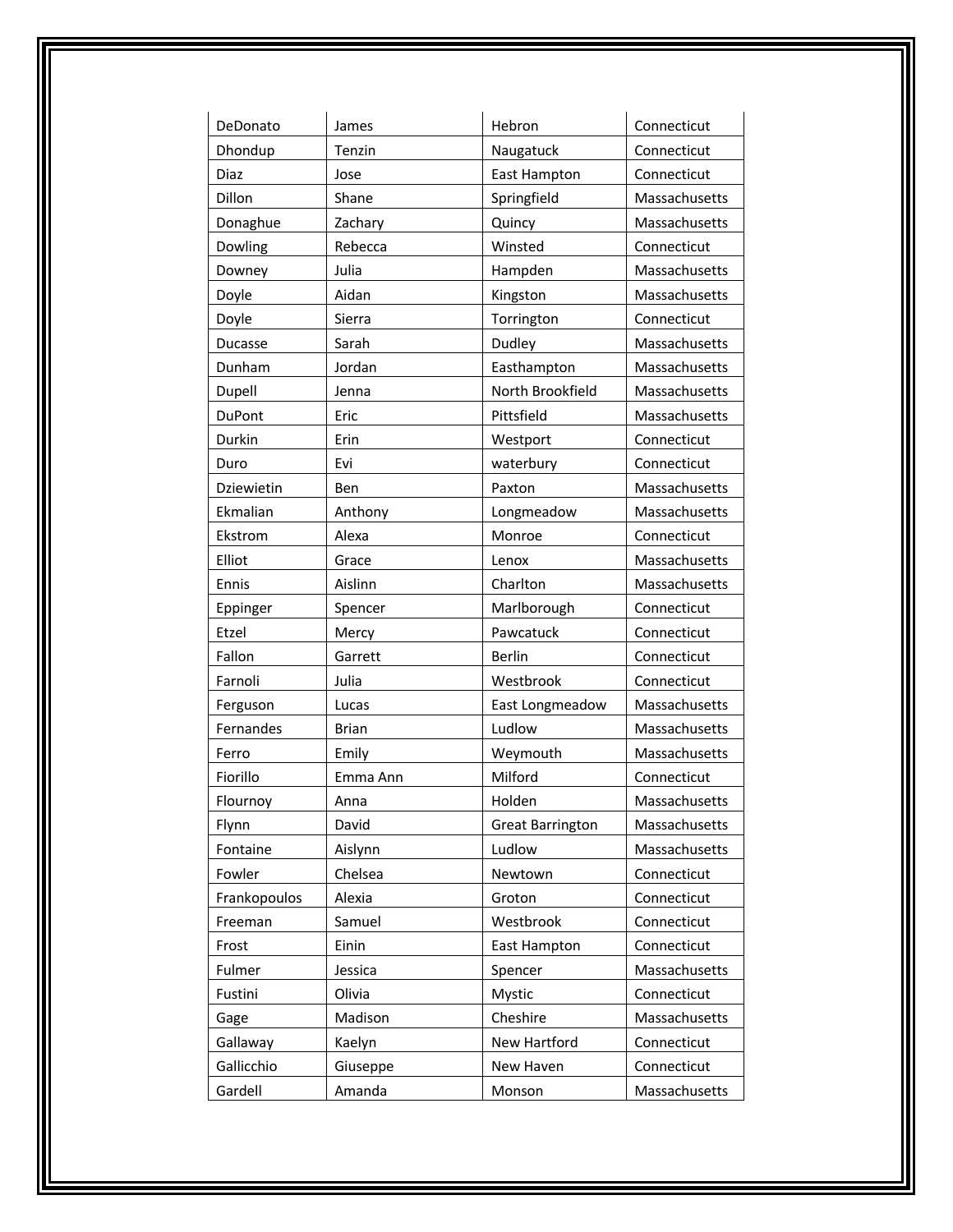| DeDonato      | James        | Hebron                  | Connecticut   |
|---------------|--------------|-------------------------|---------------|
| Dhondup       | Tenzin       | Naugatuck               | Connecticut   |
| Diaz          | Jose         | <b>East Hampton</b>     | Connecticut   |
| Dillon        | Shane        | Springfield             | Massachusetts |
| Donaghue      | Zachary      | Quincy                  | Massachusetts |
| Dowling       | Rebecca      | Winsted                 | Connecticut   |
| Downey        | Julia        | Hampden                 | Massachusetts |
| Doyle         | Aidan        | Kingston                | Massachusetts |
| Doyle         | Sierra       | Torrington              | Connecticut   |
| Ducasse       | Sarah        | Dudley                  | Massachusetts |
| Dunham        | Jordan       | Easthampton             | Massachusetts |
| Dupell        | Jenna        | North Brookfield        | Massachusetts |
| <b>DuPont</b> | Eric         | Pittsfield              | Massachusetts |
| Durkin        | Erin         | Westport                | Connecticut   |
| Duro          | Evi          | waterbury               | Connecticut   |
| Dziewietin    | Ben          | Paxton                  | Massachusetts |
| Ekmalian      | Anthony      | Longmeadow              | Massachusetts |
| Ekstrom       | Alexa        | Monroe                  | Connecticut   |
| Elliot        | Grace        | Lenox                   | Massachusetts |
| Ennis         | Aislinn      | Charlton                | Massachusetts |
| Eppinger      | Spencer      | Marlborough             | Connecticut   |
| Etzel         | Mercy        | Pawcatuck               | Connecticut   |
| Fallon        | Garrett      | <b>Berlin</b>           | Connecticut   |
| Farnoli       | Julia        | Westbrook               | Connecticut   |
| Ferguson      | Lucas        | East Longmeadow         | Massachusetts |
| Fernandes     | <b>Brian</b> | Ludlow                  | Massachusetts |
| Ferro         | Emily        | Weymouth                | Massachusetts |
| Fiorillo      | Emma Ann     | Milford                 | Connecticut   |
| Flournoy      | Anna         | Holden                  | Massachusetts |
| Flynn         | David        | <b>Great Barrington</b> | Massachusetts |
| Fontaine      | Aislynn      | Ludlow                  | Massachusetts |
| Fowler        | Chelsea      | Newtown                 | Connecticut   |
| Frankopoulos  | Alexia       | Groton                  | Connecticut   |
| Freeman       | Samuel       | Westbrook               | Connecticut   |
| Frost         | Einin        | East Hampton            | Connecticut   |
| Fulmer        | Jessica      | Spencer                 | Massachusetts |
| Fustini       | Olivia       | Mystic                  | Connecticut   |
| Gage          | Madison      | Cheshire                | Massachusetts |
| Gallaway      | Kaelyn       | New Hartford            | Connecticut   |
| Gallicchio    | Giuseppe     | New Haven               | Connecticut   |
| Gardell       | Amanda       | Monson                  | Massachusetts |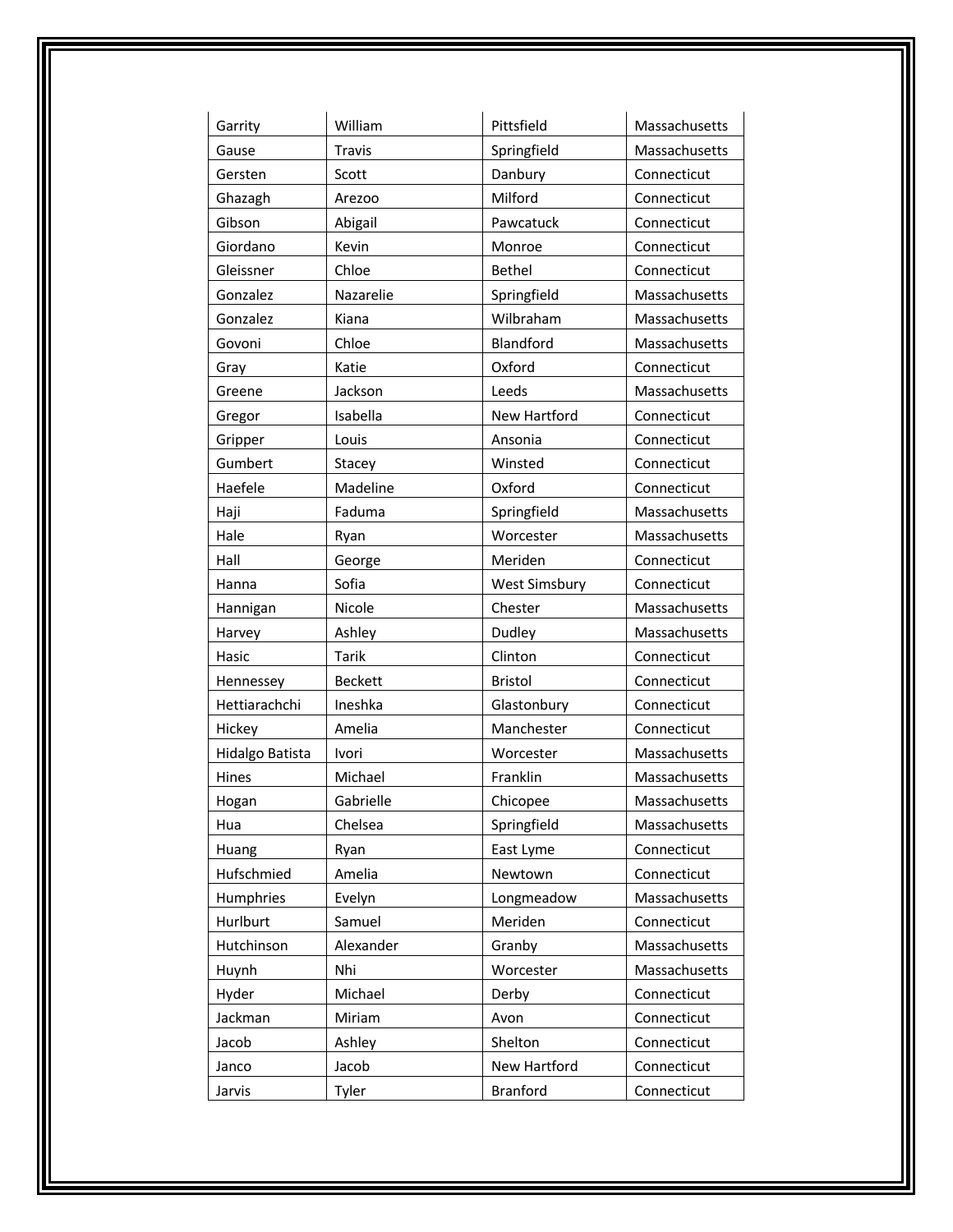| Garrity         | William        | Pittsfield           | Massachusetts |
|-----------------|----------------|----------------------|---------------|
| Gause           | <b>Travis</b>  | Springfield          | Massachusetts |
| Gersten         | Scott          | Danbury              | Connecticut   |
| Ghazagh         | Arezoo         | Milford              | Connecticut   |
| Gibson          | Abigail        | Pawcatuck            | Connecticut   |
| Giordano        | Kevin          | Monroe               | Connecticut   |
| Gleissner       | Chloe          | <b>Bethel</b>        | Connecticut   |
| Gonzalez        | Nazarelie      | Springfield          | Massachusetts |
| Gonzalez        | Kiana          | Wilbraham            | Massachusetts |
| Govoni          | Chloe          | Blandford            | Massachusetts |
| Gray            | Katie          | Oxford               | Connecticut   |
| Greene          | Jackson        | Leeds                | Massachusetts |
| Gregor          | Isabella       | New Hartford         | Connecticut   |
| Gripper         | Louis          | Ansonia              | Connecticut   |
| Gumbert         | Stacey         | Winsted              | Connecticut   |
| Haefele         | Madeline       | Oxford               | Connecticut   |
| Haji            | Faduma         | Springfield          | Massachusetts |
| Hale            | Ryan           | Worcester            | Massachusetts |
| Hall            | George         | Meriden              | Connecticut   |
| Hanna           | Sofia          | <b>West Simsbury</b> | Connecticut   |
| Hannigan        | Nicole         | Chester              | Massachusetts |
| Harvey          | Ashley         | Dudley               | Massachusetts |
| Hasic           | <b>Tarik</b>   | Clinton              | Connecticut   |
| Hennessey       | <b>Beckett</b> | <b>Bristol</b>       | Connecticut   |
| Hettiarachchi   | Ineshka        | Glastonbury          | Connecticut   |
| Hickey          | Amelia         | Manchester           | Connecticut   |
| Hidalgo Batista | Ivori          | Worcester            | Massachusetts |
| Hines           | Michael        | Franklin             | Massachusetts |
| Hogan           | Gabrielle      | Chicopee             | Massachusetts |
| Hua             | Chelsea        | Springfield          | Massachusetts |
| Huang           | Ryan           | East Lyme            | Connecticut   |
| Hufschmied      | Amelia         | Newtown              | Connecticut   |
| Humphries       | Evelyn         | Longmeadow           | Massachusetts |
| Hurlburt        | Samuel         | Meriden              | Connecticut   |
| Hutchinson      | Alexander      | Granby               | Massachusetts |
| Huynh           | Nhi            | Worcester            | Massachusetts |
| Hyder           | Michael        | Derby                | Connecticut   |
| Jackman         | Miriam         | Avon                 | Connecticut   |
| Jacob           | Ashley         | Shelton              | Connecticut   |
| Janco           | Jacob          | New Hartford         | Connecticut   |
| Jarvis          | Tyler          | <b>Branford</b>      | Connecticut   |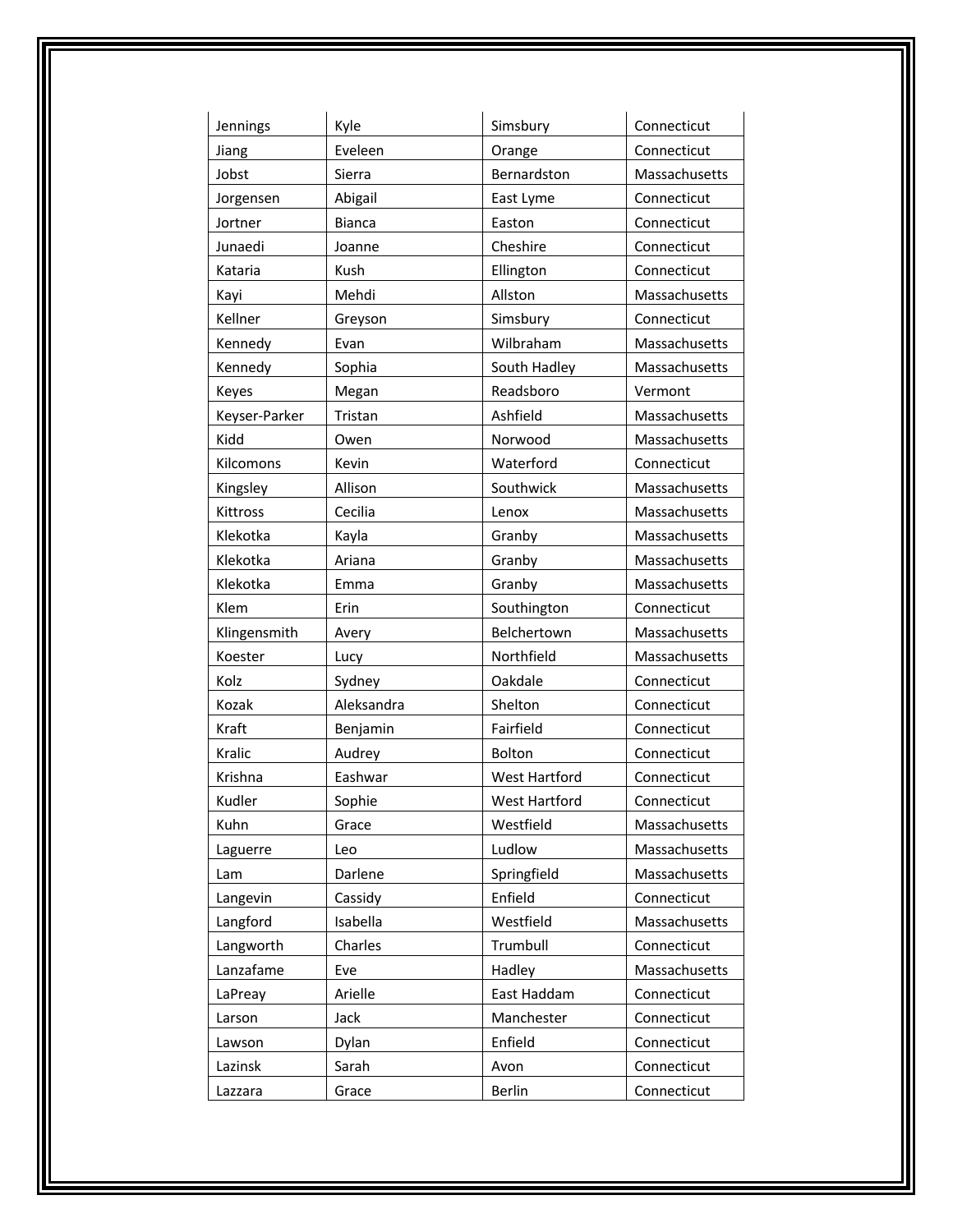| Jennings      | Kyle          | Simsbury             | Connecticut   |
|---------------|---------------|----------------------|---------------|
| Jiang         | Eveleen       | Orange               | Connecticut   |
| Jobst         | Sierra        | Bernardston          | Massachusetts |
| Jorgensen     | Abigail       | East Lyme            | Connecticut   |
| Jortner       | <b>Bianca</b> | Easton               | Connecticut   |
| Junaedi       | Joanne        | Cheshire             | Connecticut   |
| Kataria       | Kush          | Ellington            | Connecticut   |
| Kayi          | Mehdi         | Allston              | Massachusetts |
| Kellner       | Greyson       | Simsbury             | Connecticut   |
| Kennedy       | Evan          | Wilbraham            | Massachusetts |
| Kennedy       | Sophia        | South Hadley         | Massachusetts |
| Keyes         | Megan         | Readsboro            | Vermont       |
| Keyser-Parker | Tristan       | Ashfield             | Massachusetts |
| Kidd          | Owen          | Norwood              | Massachusetts |
| Kilcomons     | Kevin         | Waterford            | Connecticut   |
| Kingsley      | Allison       | Southwick            | Massachusetts |
| Kittross      | Cecilia       | Lenox                | Massachusetts |
| Klekotka      | Kayla         | Granby               | Massachusetts |
| Klekotka      | Ariana        | Granby               | Massachusetts |
| Klekotka      | Emma          | Granby               | Massachusetts |
| Klem          | Erin          | Southington          | Connecticut   |
| Klingensmith  | Avery         | Belchertown          | Massachusetts |
| Koester       | Lucy          | Northfield           | Massachusetts |
| Kolz          | Sydney        | Oakdale              | Connecticut   |
| Kozak         | Aleksandra    | Shelton              | Connecticut   |
| Kraft         | Benjamin      | Fairfield            | Connecticut   |
| Kralic        | Audrey        | Bolton               | Connecticut   |
| Krishna       | Eashwar       | <b>West Hartford</b> | Connecticut   |
| Kudler        | Sophie        | <b>West Hartford</b> | Connecticut   |
| Kuhn          | Grace         | Westfield            | Massachusetts |
| Laguerre      | Leo           | Ludlow               | Massachusetts |
| Lam           | Darlene       | Springfield          | Massachusetts |
| Langevin      | Cassidy       | Enfield              | Connecticut   |
| Langford      | Isabella      | Westfield            | Massachusetts |
| Langworth     | Charles       | Trumbull             | Connecticut   |
| Lanzafame     | Eve           | Hadley               | Massachusetts |
| LaPreay       | Arielle       | East Haddam          | Connecticut   |
| Larson        | Jack          | Manchester           | Connecticut   |
| Lawson        | Dylan         | Enfield              | Connecticut   |
| Lazinsk       | Sarah         | Avon                 | Connecticut   |
| Lazzara       | Grace         | <b>Berlin</b>        | Connecticut   |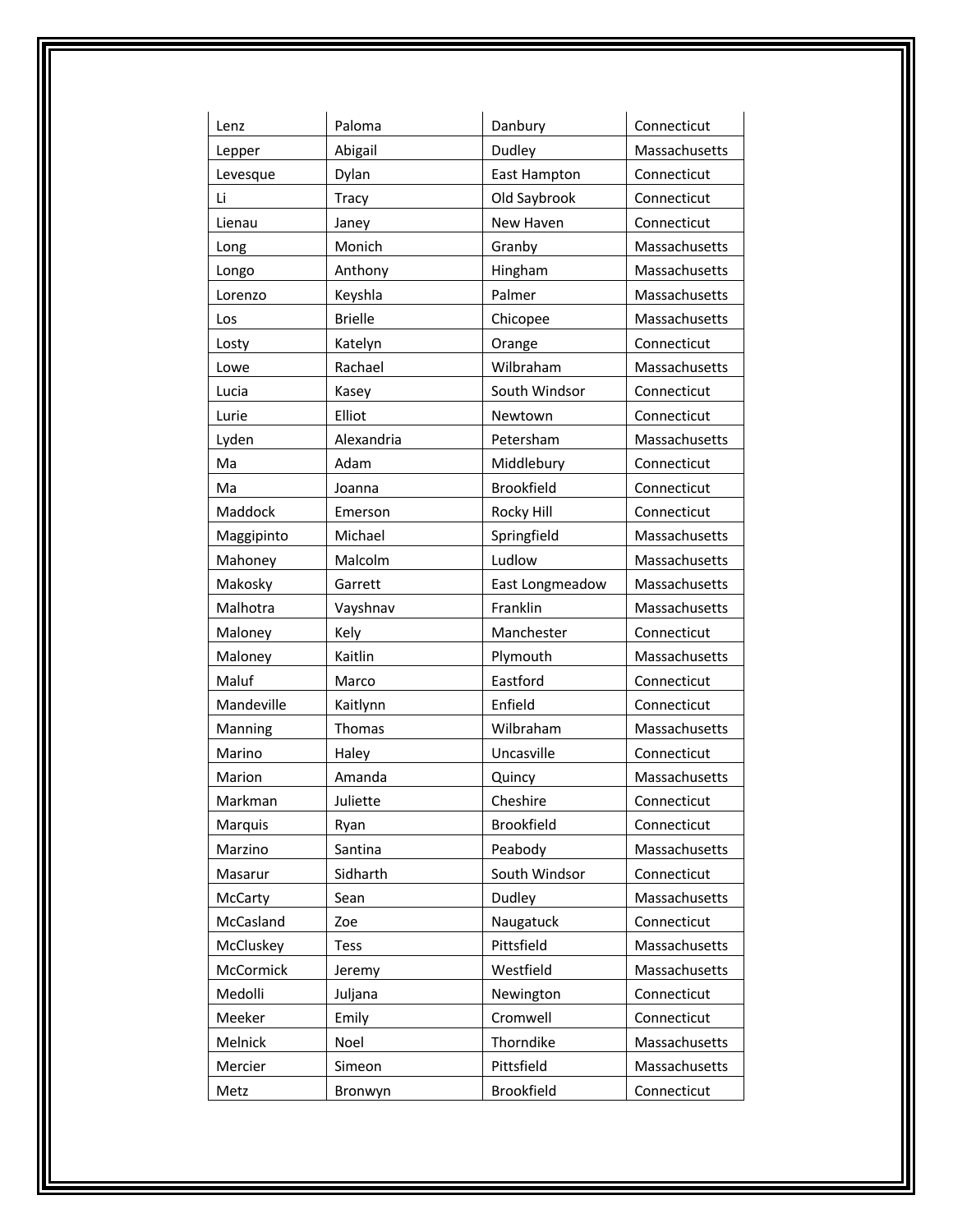| Lenz       | Paloma         | Danbury           | Connecticut   |
|------------|----------------|-------------------|---------------|
| Lepper     | Abigail        | Dudley            | Massachusetts |
| Levesque   | Dylan          | East Hampton      | Connecticut   |
| Li         | Tracy          | Old Saybrook      | Connecticut   |
| Lienau     | Janey          | New Haven         | Connecticut   |
| Long       | Monich         | Granby            | Massachusetts |
| Longo      | Anthony        | Hingham           | Massachusetts |
| Lorenzo    | Keyshla        | Palmer            | Massachusetts |
| Los        | <b>Brielle</b> | Chicopee          | Massachusetts |
| Losty      | Katelyn        | Orange            | Connecticut   |
| Lowe       | Rachael        | Wilbraham         | Massachusetts |
| Lucia      | Kasey          | South Windsor     | Connecticut   |
| Lurie      | Elliot         | Newtown           | Connecticut   |
| Lyden      | Alexandria     | Petersham         | Massachusetts |
| Ma         | Adam           | Middlebury        | Connecticut   |
| Ma         | Joanna         | <b>Brookfield</b> | Connecticut   |
| Maddock    | Emerson        | Rocky Hill        | Connecticut   |
| Maggipinto | Michael        | Springfield       | Massachusetts |
| Mahoney    | Malcolm        | Ludlow            | Massachusetts |
| Makosky    | Garrett        | East Longmeadow   | Massachusetts |
| Malhotra   | Vayshnav       | Franklin          | Massachusetts |
| Maloney    | Kely           | Manchester        | Connecticut   |
| Maloney    | Kaitlin        | Plymouth          | Massachusetts |
| Maluf      | Marco          | Eastford          | Connecticut   |
| Mandeville | Kaitlynn       | Enfield           | Connecticut   |
| Manning    | Thomas         | Wilbraham         | Massachusetts |
| Marino     | Haley          | Uncasville        | Connecticut   |
| Marion     | Amanda         | Quincy            | Massachusetts |
| Markman    | Juliette       | Cheshire          | Connecticut   |
| Marquis    | Ryan           | Brookfield        | Connecticut   |
| Marzino    | Santina        | Peabody           | Massachusetts |
| Masarur    | Sidharth       | South Windsor     | Connecticut   |
| McCarty    | Sean           | Dudley            | Massachusetts |
| McCasland  | Zoe            | Naugatuck         | Connecticut   |
| McCluskey  | <b>Tess</b>    | Pittsfield        | Massachusetts |
| McCormick  | Jeremy         | Westfield         | Massachusetts |
| Medolli    | Juljana        | Newington         | Connecticut   |
| Meeker     | Emily          | Cromwell          | Connecticut   |
| Melnick    | Noel           | Thorndike         | Massachusetts |
| Mercier    | Simeon         | Pittsfield        | Massachusetts |
| Metz       | Bronwyn        | Brookfield        | Connecticut   |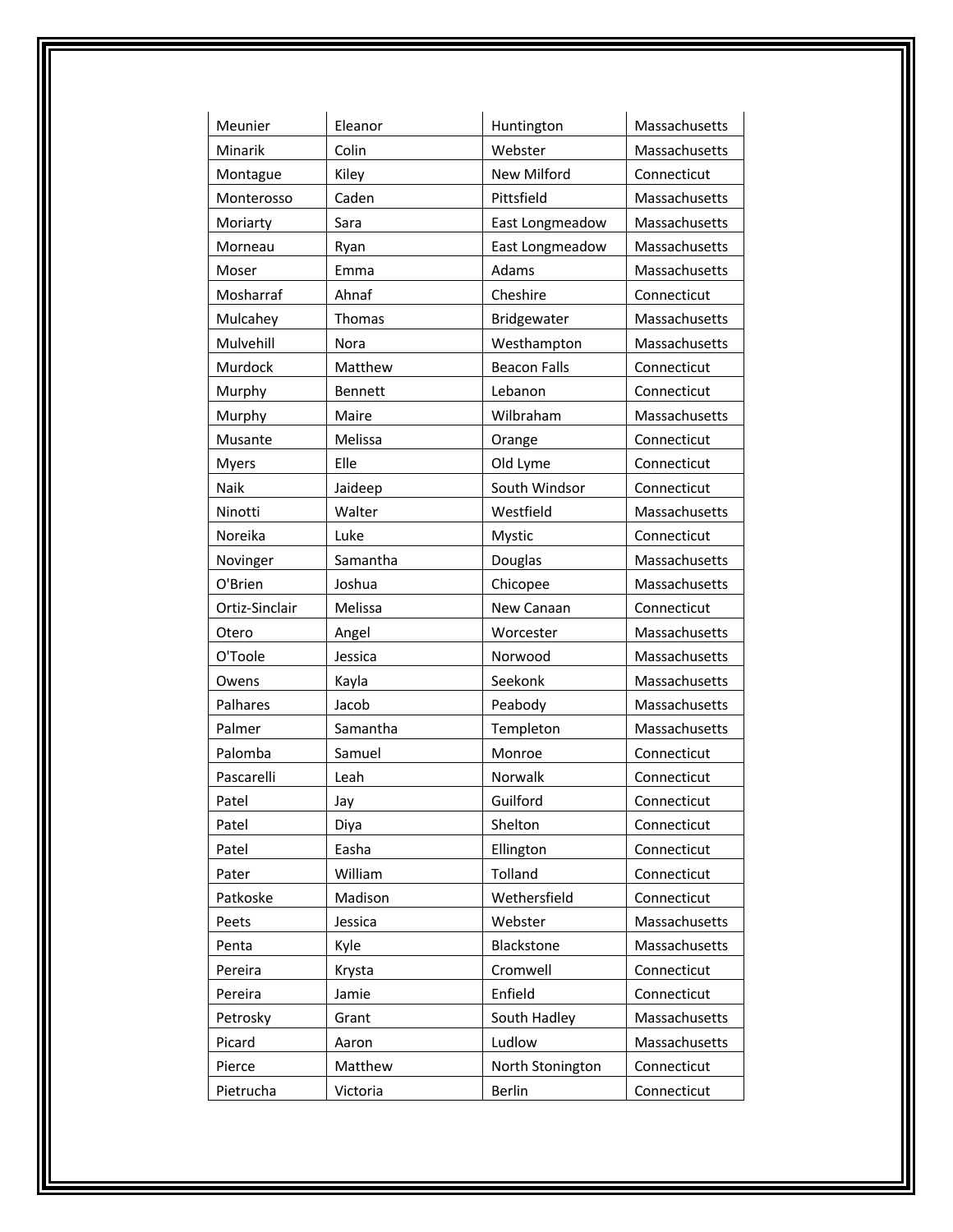| Meunier        | Eleanor  | Huntington          | Massachusetts |
|----------------|----------|---------------------|---------------|
| Minarik        | Colin    | Webster             | Massachusetts |
| Montague       | Kiley    | New Milford         | Connecticut   |
| Monterosso     | Caden    | Pittsfield          | Massachusetts |
| Moriarty       | Sara     | East Longmeadow     | Massachusetts |
| Morneau        | Ryan     | East Longmeadow     | Massachusetts |
| Moser          | Emma     | Adams               | Massachusetts |
| Mosharraf      | Ahnaf    | Cheshire            | Connecticut   |
| Mulcahey       | Thomas   | Bridgewater         | Massachusetts |
| Mulvehill      | Nora     | Westhampton         | Massachusetts |
| Murdock        | Matthew  | <b>Beacon Falls</b> | Connecticut   |
| Murphy         | Bennett  | Lebanon             | Connecticut   |
| Murphy         | Maire    | Wilbraham           | Massachusetts |
| Musante        | Melissa  | Orange              | Connecticut   |
| <b>Myers</b>   | Elle     | Old Lyme            | Connecticut   |
| Naik           | Jaideep  | South Windsor       | Connecticut   |
| Ninotti        | Walter   | Westfield           | Massachusetts |
| Noreika        | Luke     | Mystic              | Connecticut   |
| Novinger       | Samantha | Douglas             | Massachusetts |
| O'Brien        | Joshua   | Chicopee            | Massachusetts |
| Ortiz-Sinclair | Melissa  | New Canaan          | Connecticut   |
| Otero          | Angel    | Worcester           | Massachusetts |
| O'Toole        | Jessica  | Norwood             | Massachusetts |
| Owens          | Kayla    | Seekonk             | Massachusetts |
| Palhares       | Jacob    | Peabody             | Massachusetts |
| Palmer         | Samantha | Templeton           | Massachusetts |
| Palomba        | Samuel   | Monroe              | Connecticut   |
| Pascarelli     | Leah     | Norwalk             | Connecticut   |
| Patel          | Jay      | Guilford            | Connecticut   |
| Patel          | Diya     | Shelton             | Connecticut   |
| Patel          | Easha    | Ellington           | Connecticut   |
| Pater          | William  | Tolland             | Connecticut   |
| Patkoske       | Madison  | Wethersfield        | Connecticut   |
| Peets          | Jessica  | Webster             | Massachusetts |
| Penta          | Kyle     | Blackstone          | Massachusetts |
| Pereira        | Krysta   | Cromwell            | Connecticut   |
| Pereira        | Jamie    | Enfield             | Connecticut   |
| Petrosky       | Grant    | South Hadley        | Massachusetts |
| Picard         | Aaron    | Ludlow              | Massachusetts |
| Pierce         | Matthew  | North Stonington    | Connecticut   |
| Pietrucha      | Victoria | Berlin              | Connecticut   |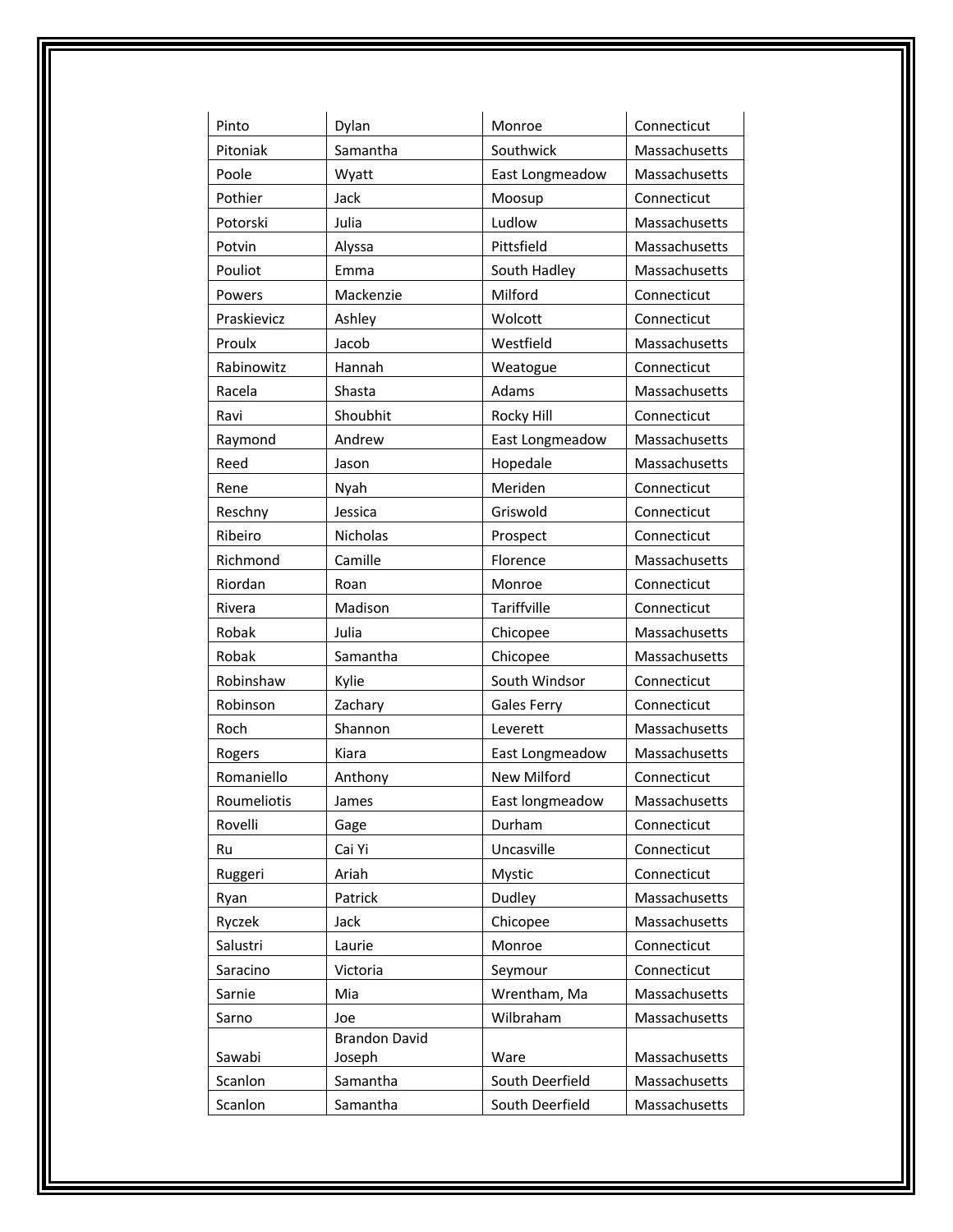| Pinto       | Dylan                | Monroe             | Connecticut   |
|-------------|----------------------|--------------------|---------------|
| Pitoniak    | Samantha             | Southwick          | Massachusetts |
| Poole       | Wyatt                | East Longmeadow    | Massachusetts |
| Pothier     | Jack                 | Moosup             | Connecticut   |
| Potorski    | Julia                | Ludlow             | Massachusetts |
| Potvin      | Alyssa               | Pittsfield         | Massachusetts |
| Pouliot     | Emma                 | South Hadley       | Massachusetts |
| Powers      | Mackenzie            | Milford            | Connecticut   |
| Praskievicz | Ashley               | Wolcott            | Connecticut   |
| Proulx      | Jacob                | Westfield          | Massachusetts |
| Rabinowitz  | Hannah               | Weatogue           | Connecticut   |
| Racela      | Shasta               | Adams              | Massachusetts |
| Ravi        | Shoubhit             | Rocky Hill         | Connecticut   |
| Raymond     | Andrew               | East Longmeadow    | Massachusetts |
| Reed        | Jason                | Hopedale           | Massachusetts |
| Rene        | Nyah                 | Meriden            | Connecticut   |
| Reschny     | Jessica              | Griswold           | Connecticut   |
| Ribeiro     | Nicholas             | Prospect           | Connecticut   |
| Richmond    | Camille              | Florence           | Massachusetts |
| Riordan     | Roan                 | Monroe             | Connecticut   |
| Rivera      | Madison              | Tariffville        | Connecticut   |
| Robak       | Julia                | Chicopee           | Massachusetts |
| Robak       | Samantha             | Chicopee           | Massachusetts |
| Robinshaw   | Kylie                | South Windsor      | Connecticut   |
| Robinson    | Zachary              | Gales Ferry        | Connecticut   |
| Roch        | Shannon              | Leverett           | Massachusetts |
| Rogers      | Kiara                | East Longmeadow    | Massachusetts |
| Romaniello  | Anthony              | <b>New Milford</b> | Connecticut   |
| Roumeliotis | James                | East longmeadow    | Massachusetts |
| Rovelli     | Gage                 | Durham             | Connecticut   |
| Ru          | Cai Yi               | Uncasville         | Connecticut   |
| Ruggeri     | Ariah                | Mystic             | Connecticut   |
| Ryan        | Patrick              | Dudley             | Massachusetts |
| Ryczek      | Jack                 | Chicopee           | Massachusetts |
| Salustri    | Laurie               | Monroe             | Connecticut   |
| Saracino    | Victoria             | Seymour            | Connecticut   |
| Sarnie      | Mia                  | Wrentham, Ma       | Massachusetts |
| Sarno       | Joe                  | Wilbraham          | Massachusetts |
|             | <b>Brandon David</b> |                    |               |
| Sawabi      | Joseph               | Ware               | Massachusetts |
| Scanlon     | Samantha             | South Deerfield    | Massachusetts |
| Scanlon     | Samantha             | South Deerfield    | Massachusetts |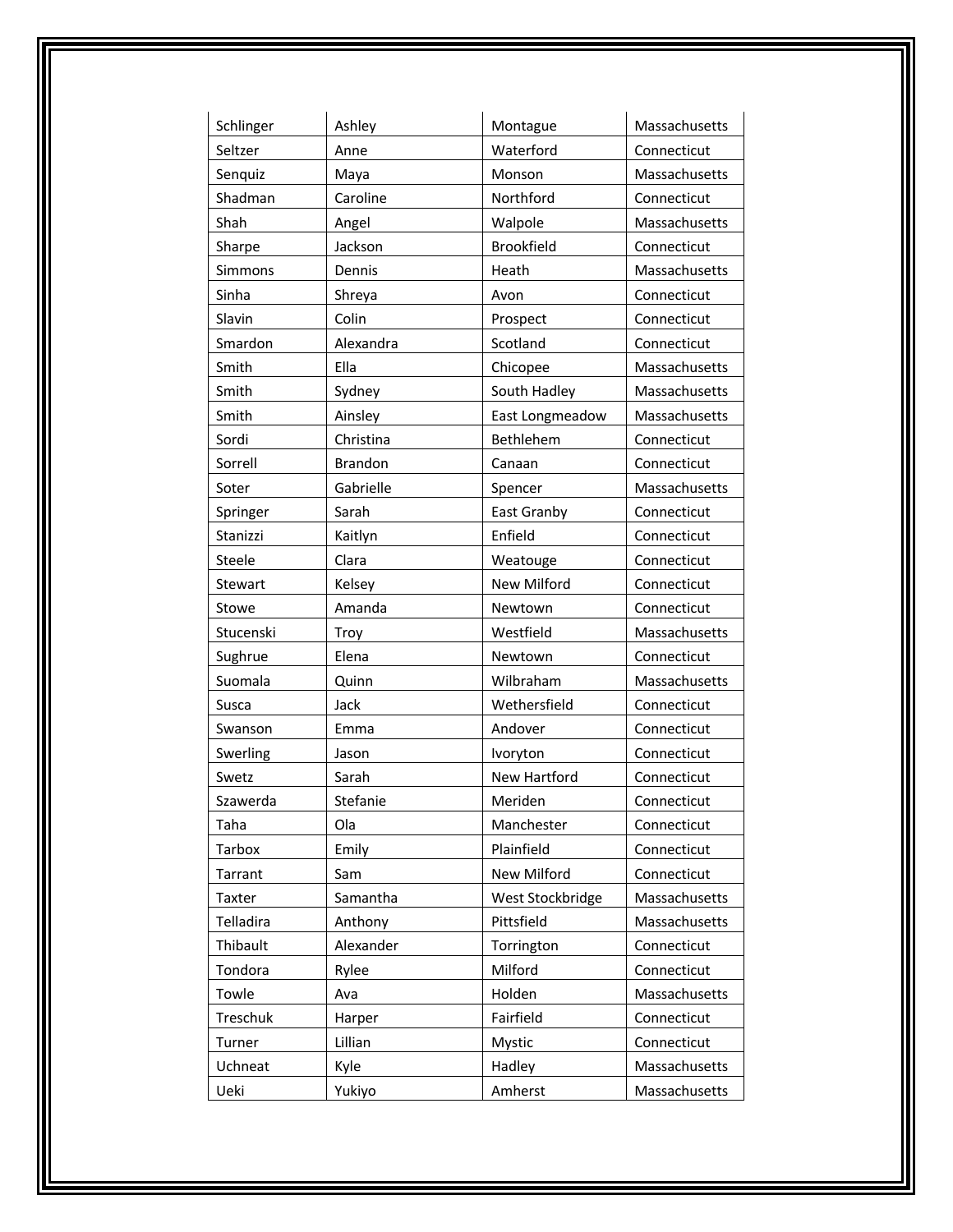| Schlinger      | Ashley         | Montague            | Massachusetts |
|----------------|----------------|---------------------|---------------|
| Seltzer        | Anne           | Waterford           | Connecticut   |
| Senquiz        | Maya           | Monson              | Massachusetts |
| Shadman        | Caroline       | Northford           | Connecticut   |
| Shah           | Angel          | Walpole             | Massachusetts |
| Sharpe         | Jackson        | <b>Brookfield</b>   | Connecticut   |
| Simmons        | Dennis         | Heath               | Massachusetts |
| Sinha          | Shreya         | Avon                | Connecticut   |
| Slavin         | Colin          | Prospect            | Connecticut   |
| Smardon        | Alexandra      | Scotland            | Connecticut   |
| Smith          | Ella           | Chicopee            | Massachusetts |
| Smith          | Sydney         | South Hadley        | Massachusetts |
| Smith          | Ainsley        | East Longmeadow     | Massachusetts |
| Sordi          | Christina      | Bethlehem           | Connecticut   |
| Sorrell        | <b>Brandon</b> | Canaan              | Connecticut   |
| Soter          | Gabrielle      | Spencer             | Massachusetts |
| Springer       | Sarah          | East Granby         | Connecticut   |
| Stanizzi       | Kaitlyn        | Enfield             | Connecticut   |
| Steele         | Clara          | Weatouge            | Connecticut   |
| <b>Stewart</b> | Kelsey         | New Milford         | Connecticut   |
| Stowe          | Amanda         | Newtown             | Connecticut   |
| Stucenski      | Troy           | Westfield           | Massachusetts |
| Sughrue        | Elena          | Newtown             | Connecticut   |
| Suomala        | Quinn          | Wilbraham           | Massachusetts |
| Susca          | Jack           | Wethersfield        | Connecticut   |
| Swanson        | Emma           | Andover             | Connecticut   |
| Swerling       | Jason          | Ivoryton            | Connecticut   |
| Swetz          | Sarah          | <b>New Hartford</b> | Connecticut   |
| Szawerda       | Stefanie       | Meriden             | Connecticut   |
| Taha           | Ola            | Manchester          | Connecticut   |
| <b>Tarbox</b>  | Emily          | Plainfield          | Connecticut   |
| Tarrant        | Sam            | New Milford         | Connecticut   |
| Taxter         | Samantha       | West Stockbridge    | Massachusetts |
| Telladira      | Anthony        | Pittsfield          | Massachusetts |
| Thibault       | Alexander      | Torrington          | Connecticut   |
| Tondora        | Rylee          | Milford             | Connecticut   |
| Towle          | Ava            | Holden              | Massachusetts |
| Treschuk       | Harper         | Fairfield           | Connecticut   |
| Turner         | Lillian        | Mystic              | Connecticut   |
| Uchneat        | Kyle           | Hadley              | Massachusetts |
| Ueki           | Yukiyo         | Amherst             | Massachusetts |